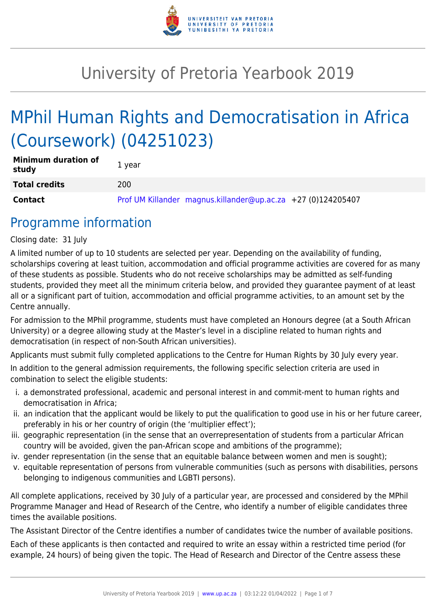

## University of Pretoria Yearbook 2019

# MPhil Human Rights and Democratisation in Africa (Coursework) (04251023)

| <b>Minimum duration of</b><br>study | 1 year                                                       |
|-------------------------------------|--------------------------------------------------------------|
| <b>Total credits</b>                | 200                                                          |
| <b>Contact</b>                      | Prof UM Killander magnus.killander@up.ac.za +27 (0)124205407 |

### Programme information

Closing date: 31 July

A limited number of up to 10 students are selected per year. Depending on the availability of funding, scholarships covering at least tuition, accommodation and official programme activities are covered for as many of these students as possible. Students who do not receive scholarships may be admitted as self-funding students, provided they meet all the minimum criteria below, and provided they guarantee payment of at least all or a significant part of tuition, accommodation and official programme activities, to an amount set by the Centre annually.

For admission to the MPhil programme, students must have completed an Honours degree (at a South African University) or a degree allowing study at the Master's level in a discipline related to human rights and democratisation (in respect of non-South African universities).

Applicants must submit fully completed applications to the Centre for Human Rights by 30 July every year.

In addition to the general admission requirements, the following specific selection criteria are used in combination to select the eligible students:

- i. a demonstrated professional, academic and personal interest in and commit-ment to human rights and democratisation in Africa;
- ii. an indication that the applicant would be likely to put the qualification to good use in his or her future career, preferably in his or her country of origin (the 'multiplier effect');
- iii. geographic representation (in the sense that an overrepresentation of students from a particular African country will be avoided, given the pan-African scope and ambitions of the programme);
- iv. gender representation (in the sense that an equitable balance between women and men is sought);
- v. equitable representation of persons from vulnerable communities (such as persons with disabilities, persons belonging to indigenous communities and LGBTI persons).

All complete applications, received by 30 July of a particular year, are processed and considered by the MPhil Programme Manager and Head of Research of the Centre, who identify a number of eligible candidates three times the available positions.

The Assistant Director of the Centre identifies a number of candidates twice the number of available positions.

Each of these applicants is then contacted and required to write an essay within a restricted time period (for example, 24 hours) of being given the topic. The Head of Research and Director of the Centre assess these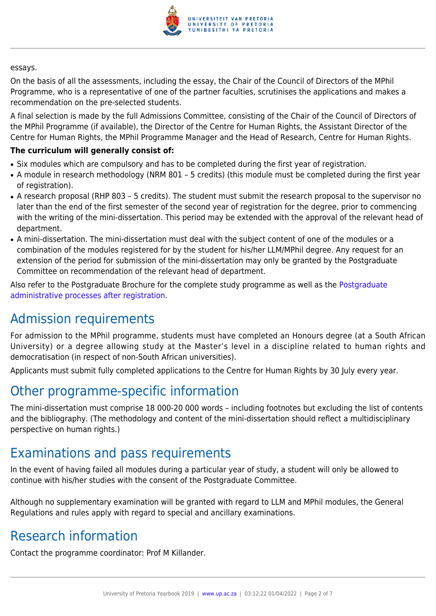

#### essays.

On the basis of all the assessments, including the essay, the Chair of the Council of Directors of the MPhil Programme, who is a representative of one of the partner faculties, scrutinises the applications and makes a recommendation on the pre-selected students.

A final selection is made by the full Admissions Committee, consisting of the Chair of the Council of Directors of the MPhil Programme (if available), the Director of the Centre for Human Rights, the Assistant Director of the Centre for Human Rights, the MPhil Programme Manager and the Head of Research, Centre for Human Rights.

#### **The curriculum will generally consist of:**

- Six modules which are compulsory and has to be completed during the first year of registration.
- A module in research methodology (NRM 801 5 credits) (this module must be completed during the first year of registration).
- A research proposal (RHP 803 5 credits). The student must submit the research proposal to the supervisor no later than the end of the first semester of the second year of registration for the degree, prior to commencing with the writing of the mini-dissertation. This period may be extended with the approval of the relevant head of department.
- A mini-dissertation. The mini-dissertation must deal with the subject content of one of the modules or a combination of the modules registered for by the student for his/her LLM/MPhil degree. Any request for an extension of the period for submission of the mini-dissertation may only be granted by the Postgraduate Committee on recommendation of the relevant head of department.

Also refer to the Postgraduate Brochure for the complete study programme as well as the [Postgraduate](http://www.up.ac.za/media/shared/10/ZP_Files/post-graduate-administrative-processes-brochures-for-the-faculty-web.zp124870.pdf) [administrative processes after registration.](http://www.up.ac.za/media/shared/10/ZP_Files/post-graduate-administrative-processes-brochures-for-the-faculty-web.zp124870.pdf)

### Admission requirements

For admission to the MPhil programme, students must have completed an Honours degree (at a South African University) or a degree allowing study at the Master's level in a discipline related to human rights and democratisation (in respect of non-South African universities).

Applicants must submit fully completed applications to the Centre for Human Rights by 30 July every year.

### Other programme-specific information

The mini-dissertation must comprise 18 000-20 000 words – including footnotes but excluding the list of contents and the bibliography. (The methodology and content of the mini-dissertation should reflect a multidisciplinary perspective on human rights.)

### Examinations and pass requirements

In the event of having failed all modules during a particular year of study, a student will only be allowed to continue with his/her studies with the consent of the Postgraduate Committee.

Although no supplementary examination will be granted with regard to LLM and MPhil modules, the General Regulations and rules apply with regard to special and ancillary examinations.

### Research information

Contact the programme coordinator: Prof M Killander.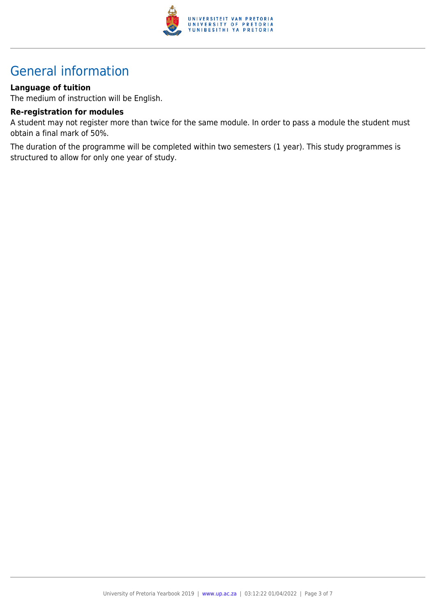

## General information

#### **Language of tuition**

The medium of instruction will be English.

#### **Re-registration for modules**

A student may not register more than twice for the same module. In order to pass a module the student must obtain a final mark of 50%.

The duration of the programme will be completed within two semesters (1 year). This study programmes is structured to allow for only one year of study.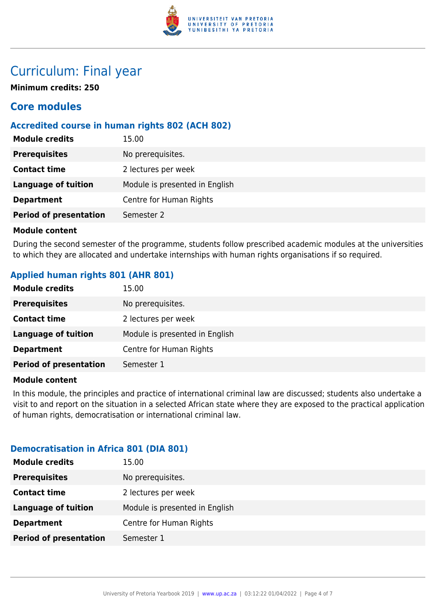

### Curriculum: Final year

**Minimum credits: 250**

### **Core modules**

#### **Accredited course in human rights 802 (ACH 802)**

| <b>Module credits</b>         | 15.00                          |
|-------------------------------|--------------------------------|
| <b>Prerequisites</b>          | No prerequisites.              |
| <b>Contact time</b>           | 2 lectures per week            |
| <b>Language of tuition</b>    | Module is presented in English |
| <b>Department</b>             | Centre for Human Rights        |
| <b>Period of presentation</b> | Semester 2                     |
|                               |                                |

#### **Module content**

During the second semester of the programme, students follow prescribed academic modules at the universities to which they are allocated and undertake internships with human rights organisations if so required.

#### **Applied human rights 801 (AHR 801)**

| <b>Module credits</b>         | 15.00                          |
|-------------------------------|--------------------------------|
| <b>Prerequisites</b>          | No prerequisites.              |
| <b>Contact time</b>           | 2 lectures per week            |
| Language of tuition           | Module is presented in English |
| <b>Department</b>             | Centre for Human Rights        |
| <b>Period of presentation</b> | Semester 1                     |

#### **Module content**

In this module, the principles and practice of international criminal law are discussed; students also undertake a visit to and report on the situation in a selected African state where they are exposed to the practical application of human rights, democratisation or international criminal law.

#### **Democratisation in Africa 801 (DIA 801)**

| <b>Module credits</b>         | 15.00                          |
|-------------------------------|--------------------------------|
| <b>Prerequisites</b>          | No prerequisites.              |
| <b>Contact time</b>           | 2 lectures per week            |
| <b>Language of tuition</b>    | Module is presented in English |
| <b>Department</b>             | Centre for Human Rights        |
| <b>Period of presentation</b> | Semester 1                     |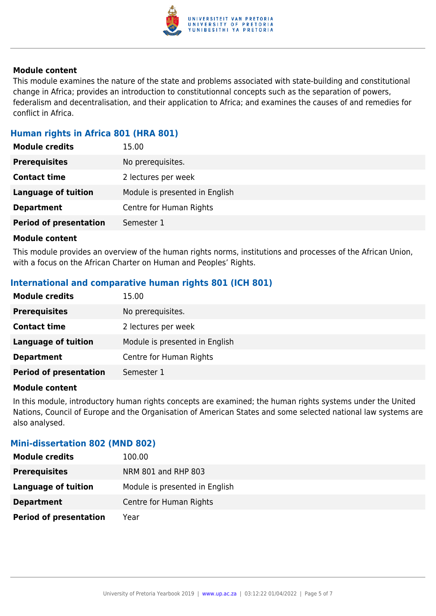

#### **Module content**

This module examines the nature of the state and problems associated with state-building and constitutional change in Africa; provides an introduction to constitutionnal concepts such as the separation of powers, federalism and decentralisation, and their application to Africa; and examines the causes of and remedies for conflict in Africa.

#### **Human rights in Africa 801 (HRA 801)**

| <b>Module credits</b>         | 15.00                          |
|-------------------------------|--------------------------------|
| <b>Prerequisites</b>          | No prerequisites.              |
| <b>Contact time</b>           | 2 lectures per week            |
| <b>Language of tuition</b>    | Module is presented in English |
| <b>Department</b>             | Centre for Human Rights        |
| <b>Period of presentation</b> | Semester 1                     |

#### **Module content**

This module provides an overview of the human rights norms, institutions and processes of the African Union, with a focus on the African Charter on Human and Peoples' Rights.

#### **International and comparative human rights 801 (ICH 801)**

| <b>Module credits</b>         | 15.00                          |
|-------------------------------|--------------------------------|
| <b>Prerequisites</b>          | No prerequisites.              |
| <b>Contact time</b>           | 2 lectures per week            |
| Language of tuition           | Module is presented in English |
| <b>Department</b>             | Centre for Human Rights        |
| <b>Period of presentation</b> | Semester 1                     |

#### **Module content**

In this module, introductory human rights concepts are examined; the human rights systems under the United Nations, Council of Europe and the Organisation of American States and some selected national law systems are also analysed.

#### **Mini-dissertation 802 (MND 802)**

| <b>Module credits</b>         | 100.00                         |
|-------------------------------|--------------------------------|
| <b>Prerequisites</b>          | NRM 801 and RHP 803            |
| Language of tuition           | Module is presented in English |
| <b>Department</b>             | Centre for Human Rights        |
| <b>Period of presentation</b> | Year                           |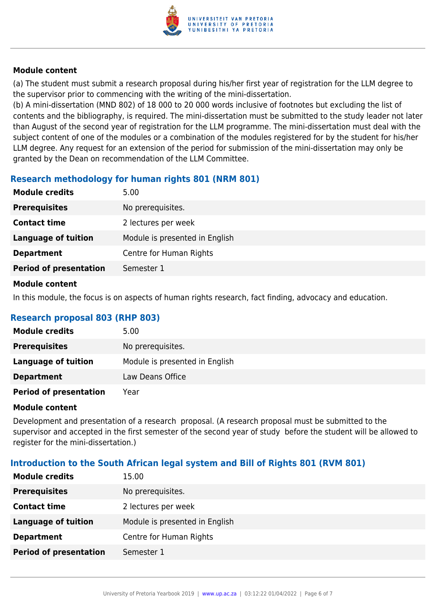

#### **Module content**

(a) The student must submit a research proposal during his/her first year of registration for the LLM degree to the supervisor prior to commencing with the writing of the mini-dissertation.

(b) A mini-dissertation (MND 802) of 18 000 to 20 000 words inclusive of footnotes but excluding the list of contents and the bibliography, is required. The mini-dissertation must be submitted to the study leader not later than August of the second year of registration for the LLM programme. The mini-dissertation must deal with the subject content of one of the modules or a combination of the modules registered for by the student for his/her LLM degree. Any request for an extension of the period for submission of the mini-dissertation may only be granted by the Dean on recommendation of the LLM Committee.

#### **Research methodology for human rights 801 (NRM 801)**

| <b>Module credits</b>         | 5.00                           |
|-------------------------------|--------------------------------|
| <b>Prerequisites</b>          | No prerequisites.              |
| <b>Contact time</b>           | 2 lectures per week            |
| Language of tuition           | Module is presented in English |
| <b>Department</b>             | Centre for Human Rights        |
| <b>Period of presentation</b> | Semester 1                     |

#### **Module content**

In this module, the focus is on aspects of human rights research, fact finding, advocacy and education.

#### **Research proposal 803 (RHP 803)**

| <b>Module credits</b>         | 5.00                           |
|-------------------------------|--------------------------------|
| <b>Prerequisites</b>          | No prerequisites.              |
| Language of tuition           | Module is presented in English |
| <b>Department</b>             | Law Deans Office               |
| <b>Period of presentation</b> | Year                           |

#### **Module content**

Development and presentation of a research proposal. (A research proposal must be submitted to the supervisor and accepted in the first semester of the second year of study before the student will be allowed to register for the mini-dissertation.)

#### **Introduction to the South African legal system and Bill of Rights 801 (RVM 801)**

| <b>Module credits</b>         | 15.00                          |
|-------------------------------|--------------------------------|
| <b>Prerequisites</b>          | No prerequisites.              |
| <b>Contact time</b>           | 2 lectures per week            |
| <b>Language of tuition</b>    | Module is presented in English |
| <b>Department</b>             | Centre for Human Rights        |
| <b>Period of presentation</b> | Semester 1                     |